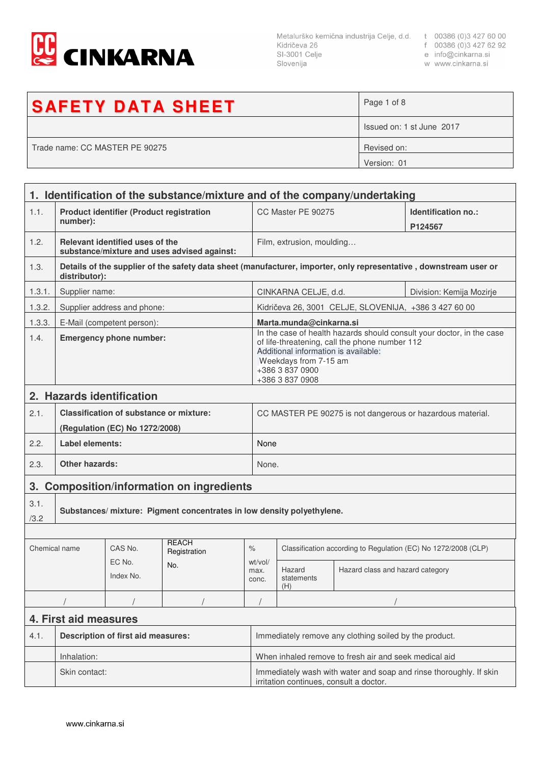

Metalurško kemična industrija Celje, d.d. t 00386 (0)3 427 60 00<br>Kidričeva 26 f 00386 (0)3 427 62 92<br>SI-3001 Celje e info@cinkarna.si<br>Slovenija w www.cinkarna.si Slovenija

- 
- 
- w www.cinkarna.si

| <b>SAFETY DATA SHEET</b>       | Page 1 of 8               |
|--------------------------------|---------------------------|
|                                | Issued on: 1 st June 2017 |
| Trade name: CC MASTER PE 90275 | Revised on:               |
|                                | Version: 01               |

|               | 1. Identification of the substance/mixture and of the company/undertaking |                                                |                                                                       |                                                                                                                                                                                                                                |                                                                                                               |                                                       |                                                                                                                   |  |
|---------------|---------------------------------------------------------------------------|------------------------------------------------|-----------------------------------------------------------------------|--------------------------------------------------------------------------------------------------------------------------------------------------------------------------------------------------------------------------------|---------------------------------------------------------------------------------------------------------------|-------------------------------------------------------|-------------------------------------------------------------------------------------------------------------------|--|
| 1.1.          | <b>Product identifier (Product registration</b><br>number):               |                                                |                                                                       | CC Master PE 90275                                                                                                                                                                                                             |                                                                                                               | Identification no.:<br>P124567                        |                                                                                                                   |  |
| 1.2.          |                                                                           | Relevant identified uses of the                | substance/mixture and uses advised against:                           |                                                                                                                                                                                                                                | Film, extrusion, moulding                                                                                     |                                                       |                                                                                                                   |  |
| 1.3.          | distributor):                                                             |                                                |                                                                       |                                                                                                                                                                                                                                |                                                                                                               |                                                       | Details of the supplier of the safety data sheet (manufacturer, importer, only representative, downstream user or |  |
| 1.3.1.        | Supplier name:                                                            |                                                |                                                                       |                                                                                                                                                                                                                                | CINKARNA CELJE, d.d.<br>Division: Kemija Mozirje                                                              |                                                       |                                                                                                                   |  |
| 1.3.2.        |                                                                           | Supplier address and phone:                    |                                                                       |                                                                                                                                                                                                                                |                                                                                                               | Kidričeva 26, 3001 CELJE, SLOVENIJA, +386 3 427 60 00 |                                                                                                                   |  |
| 1.3.3.        |                                                                           | E-Mail (competent person):                     |                                                                       |                                                                                                                                                                                                                                | Marta.munda@cinkarna.si                                                                                       |                                                       |                                                                                                                   |  |
| 1.4.          | <b>Emergency phone number:</b>                                            |                                                |                                                                       | In the case of health hazards should consult your doctor, in the case<br>of life-threatening, call the phone number 112<br>Additional information is available:<br>Weekdays from 7-15 am<br>+386 3 837 0900<br>+386 3 837 0908 |                                                                                                               |                                                       |                                                                                                                   |  |
|               |                                                                           | 2. Hazards identification                      |                                                                       |                                                                                                                                                                                                                                |                                                                                                               |                                                       |                                                                                                                   |  |
| 2.1.          |                                                                           | <b>Classification of substance or mixture:</b> |                                                                       |                                                                                                                                                                                                                                |                                                                                                               |                                                       | CC MASTER PE 90275 is not dangerous or hazardous material.                                                        |  |
| 2.2.          | Label elements:                                                           | (Regulation (EC) No 1272/2008)                 |                                                                       |                                                                                                                                                                                                                                | None                                                                                                          |                                                       |                                                                                                                   |  |
|               |                                                                           |                                                |                                                                       |                                                                                                                                                                                                                                |                                                                                                               |                                                       |                                                                                                                   |  |
| 2.3.          | <b>Other hazards:</b>                                                     |                                                |                                                                       |                                                                                                                                                                                                                                | None.                                                                                                         |                                                       |                                                                                                                   |  |
|               |                                                                           |                                                | 3. Composition/information on ingredients                             |                                                                                                                                                                                                                                |                                                                                                               |                                                       |                                                                                                                   |  |
| 3.1.<br>/3.2  |                                                                           |                                                | Substances/mixture: Pigment concentrates in low density polyethylene. |                                                                                                                                                                                                                                |                                                                                                               |                                                       |                                                                                                                   |  |
|               |                                                                           |                                                |                                                                       |                                                                                                                                                                                                                                |                                                                                                               |                                                       |                                                                                                                   |  |
| Chemical name |                                                                           | CAS No.                                        | <b>REACH</b><br>Registration                                          | $\%$                                                                                                                                                                                                                           | Classification according to Regulation (EC) No 1272/2008 (CLP)                                                |                                                       |                                                                                                                   |  |
|               |                                                                           | EC No.<br>Index No.                            | No.                                                                   | wt/vol/<br>max.<br>conc.                                                                                                                                                                                                       | Hazard<br>statements<br>(H)                                                                                   | Hazard class and hazard category                      |                                                                                                                   |  |
|               |                                                                           |                                                |                                                                       |                                                                                                                                                                                                                                |                                                                                                               |                                                       |                                                                                                                   |  |
|               | 4. First aid measures                                                     |                                                |                                                                       |                                                                                                                                                                                                                                |                                                                                                               |                                                       |                                                                                                                   |  |
| 4.1.          | <b>Description of first aid measures:</b>                                 |                                                |                                                                       | Immediately remove any clothing soiled by the product.                                                                                                                                                                         |                                                                                                               |                                                       |                                                                                                                   |  |
|               | Inhalation:                                                               |                                                |                                                                       |                                                                                                                                                                                                                                | When inhaled remove to fresh air and seek medical aid                                                         |                                                       |                                                                                                                   |  |
|               | Skin contact:                                                             |                                                |                                                                       |                                                                                                                                                                                                                                | Immediately wash with water and soap and rinse thoroughly. If skin<br>irritation continues, consult a doctor. |                                                       |                                                                                                                   |  |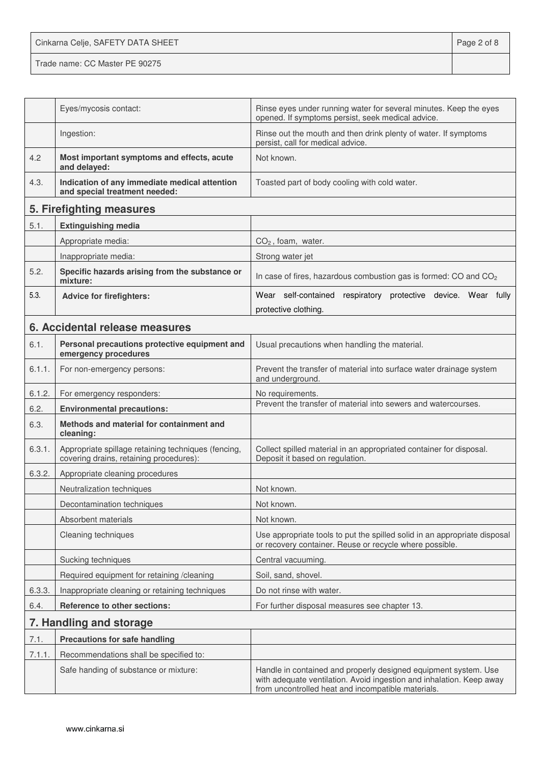Cinkarna Celje, SAFETY DATA SHEET **Page 2 of 8** 

Trade name: CC Master PE 90275

|        | Eyes/mycosis contact:                                                                          | Rinse eyes under running water for several minutes. Keep the eyes<br>opened. If symptoms persist, seek medical advice.                                                                        |  |
|--------|------------------------------------------------------------------------------------------------|-----------------------------------------------------------------------------------------------------------------------------------------------------------------------------------------------|--|
|        | Ingestion:                                                                                     | Rinse out the mouth and then drink plenty of water. If symptoms<br>persist, call for medical advice.                                                                                          |  |
| 4.2    | Most important symptoms and effects, acute<br>and delayed:                                     | Not known.                                                                                                                                                                                    |  |
| 4.3.   | Indication of any immediate medical attention<br>and special treatment needed:                 | Toasted part of body cooling with cold water.                                                                                                                                                 |  |
|        | 5. Firefighting measures                                                                       |                                                                                                                                                                                               |  |
| 5.1.   | <b>Extinguishing media</b>                                                                     |                                                                                                                                                                                               |  |
|        | Appropriate media:                                                                             | $CO2$ , foam, water.                                                                                                                                                                          |  |
|        | Inappropriate media:                                                                           | Strong water jet                                                                                                                                                                              |  |
| 5.2.   | Specific hazards arising from the substance or<br>mixture:                                     | In case of fires, hazardous combustion gas is formed: CO and CO <sub>2</sub>                                                                                                                  |  |
| 5.3.   | <b>Advice for firefighters:</b>                                                                | Wear self-contained respiratory protective device. Wear fully                                                                                                                                 |  |
|        |                                                                                                | protective clothing.                                                                                                                                                                          |  |
|        | 6. Accidental release measures                                                                 |                                                                                                                                                                                               |  |
| 6.1.   | Personal precautions protective equipment and<br>emergency procedures                          | Usual precautions when handling the material.                                                                                                                                                 |  |
| 6.1.1. | For non-emergency persons:                                                                     | Prevent the transfer of material into surface water drainage system<br>and underground.                                                                                                       |  |
| 6.1.2. | For emergency responders:                                                                      | No requirements.                                                                                                                                                                              |  |
| 6.2.   | <b>Environmental precautions:</b>                                                              | Prevent the transfer of material into sewers and watercourses.                                                                                                                                |  |
| 6.3.   | Methods and material for containment and<br>cleaning:                                          |                                                                                                                                                                                               |  |
| 6.3.1. | Appropriate spillage retaining techniques (fencing,<br>covering drains, retaining procedures): | Collect spilled material in an appropriated container for disposal.<br>Deposit it based on regulation.                                                                                        |  |
| 6.3.2. | Appropriate cleaning procedures                                                                |                                                                                                                                                                                               |  |
|        | Neutralization techniques                                                                      | Not known.                                                                                                                                                                                    |  |
|        | Decontamination techniques                                                                     | Not known.                                                                                                                                                                                    |  |
|        | Absorbent materials                                                                            | Not known.                                                                                                                                                                                    |  |
|        | Cleaning techniques                                                                            | Use appropriate tools to put the spilled solid in an appropriate disposal<br>or recovery container. Reuse or recycle where possible.                                                          |  |
|        | Sucking techniques                                                                             | Central vacuuming.                                                                                                                                                                            |  |
|        | Required equipment for retaining /cleaning                                                     | Soil, sand, shovel.                                                                                                                                                                           |  |
| 6.3.3. | Inappropriate cleaning or retaining techniques                                                 | Do not rinse with water.                                                                                                                                                                      |  |
| 6.4.   | <b>Reference to other sections:</b>                                                            | For further disposal measures see chapter 13.                                                                                                                                                 |  |
|        | 7. Handling and storage                                                                        |                                                                                                                                                                                               |  |
| 7.1.   | <b>Precautions for safe handling</b>                                                           |                                                                                                                                                                                               |  |
| 7.1.1. | Recommendations shall be specified to:                                                         |                                                                                                                                                                                               |  |
|        | Safe handing of substance or mixture:                                                          | Handle in contained and properly designed equipment system. Use<br>with adequate ventilation. Avoid ingestion and inhalation. Keep away<br>from uncontrolled heat and incompatible materials. |  |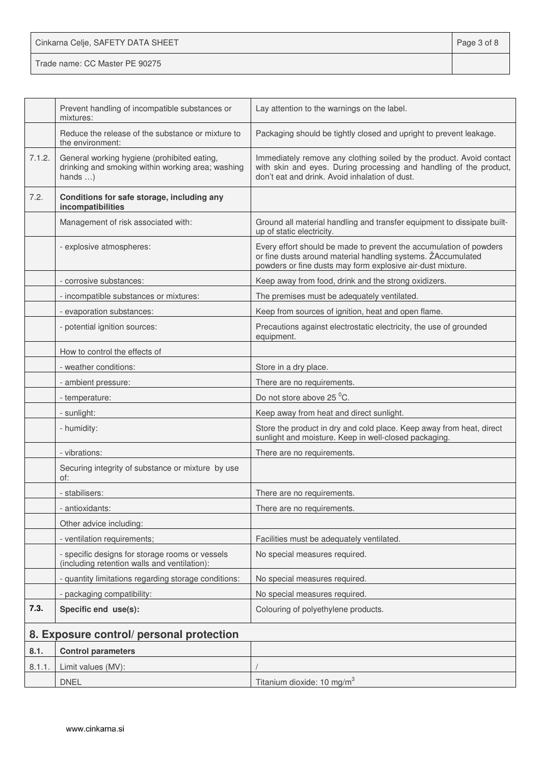| Cinkarna Celje, SAFETY DATA SHEET | Page 3 of 8 |
|-----------------------------------|-------------|
| Trade name: CC Master PE 90275    |             |

|        | Prevent handling of incompatible substances or<br>mixtures:                                                          | Lay attention to the warnings on the label.                                                                                                                                                      |
|--------|----------------------------------------------------------------------------------------------------------------------|--------------------------------------------------------------------------------------------------------------------------------------------------------------------------------------------------|
|        | Reduce the release of the substance or mixture to<br>the environment:                                                | Packaging should be tightly closed and upright to prevent leakage.                                                                                                                               |
| 7.1.2. | General working hygiene (prohibited eating,<br>drinking and smoking within working area; washing<br>hands $\ldots$ ) | Immediately remove any clothing soiled by the product. Avoid contact<br>with skin and eyes. During processing and handling of the product,<br>don't eat and drink. Avoid inhalation of dust.     |
| 7.2.   | Conditions for safe storage, including any<br>incompatibilities                                                      |                                                                                                                                                                                                  |
|        | Management of risk associated with:                                                                                  | Ground all material handling and transfer equipment to dissipate built-<br>up of static electricity.                                                                                             |
|        | - explosive atmospheres:                                                                                             | Every effort should be made to prevent the accumulation of powders<br>or fine dusts around material handling systems. ŽAccumulated<br>powders or fine dusts may form explosive air-dust mixture. |
|        | - corrosive substances:                                                                                              | Keep away from food, drink and the strong oxidizers.                                                                                                                                             |
|        | - incompatible substances or mixtures:                                                                               | The premises must be adequately ventilated.                                                                                                                                                      |
|        | - evaporation substances:                                                                                            | Keep from sources of ignition, heat and open flame.                                                                                                                                              |
|        | - potential ignition sources:                                                                                        | Precautions against electrostatic electricity, the use of grounded<br>equipment.                                                                                                                 |
|        | How to control the effects of                                                                                        |                                                                                                                                                                                                  |
|        | - weather conditions:                                                                                                | Store in a dry place.                                                                                                                                                                            |
|        | - ambient pressure:                                                                                                  | There are no requirements.                                                                                                                                                                       |
|        | - temperature:                                                                                                       | Do not store above 25 °C.                                                                                                                                                                        |
|        | - sunlight:                                                                                                          | Keep away from heat and direct sunlight.                                                                                                                                                         |
|        | - humidity:                                                                                                          | Store the product in dry and cold place. Keep away from heat, direct<br>sunlight and moisture. Keep in well-closed packaging.                                                                    |
|        | - vibrations:                                                                                                        | There are no requirements.                                                                                                                                                                       |
|        | Securing integrity of substance or mixture by use<br>of:                                                             |                                                                                                                                                                                                  |
|        | - stabilisers:                                                                                                       | There are no requirements.                                                                                                                                                                       |
|        | - antioxidants:                                                                                                      | There are no requirements.                                                                                                                                                                       |
|        | Other advice including:                                                                                              |                                                                                                                                                                                                  |
|        | - ventilation requirements;                                                                                          | Facilities must be adequately ventilated.                                                                                                                                                        |
|        | - specific designs for storage rooms or vessels<br>(including retention walls and ventilation):                      | No special measures required.                                                                                                                                                                    |
|        | - quantity limitations regarding storage conditions:                                                                 | No special measures required.                                                                                                                                                                    |
|        | - packaging compatibility:                                                                                           | No special measures required.                                                                                                                                                                    |
| 7.3.   | Specific end use(s):                                                                                                 | Colouring of polyethylene products.                                                                                                                                                              |
|        | 8. Exposure control/ personal protection                                                                             |                                                                                                                                                                                                  |
| 8.1.   | <b>Control parameters</b>                                                                                            |                                                                                                                                                                                                  |
| 8.1.1  | Limit values (MV):                                                                                                   |                                                                                                                                                                                                  |
|        | <b>DNEL</b>                                                                                                          | Titanium dioxide: 10 mg/m <sup>3</sup>                                                                                                                                                           |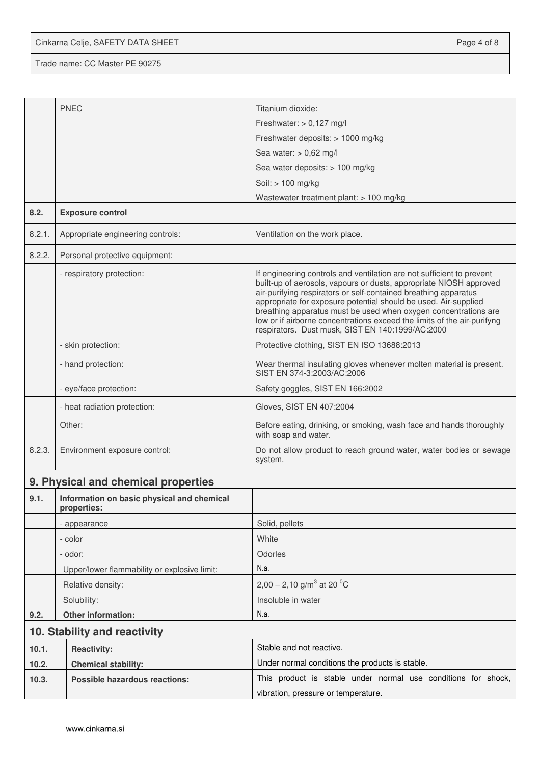Cinkarna Celje, SAFETY DATA SHEET **Page 4 of 8** 

Trade name: CC Master PE 90275

|        | <b>PNEC</b>                                                                                           | Titanium dioxide:                                                                                                                                                                                                                                                                                                                                                                                                                                                                   |  |  |
|--------|-------------------------------------------------------------------------------------------------------|-------------------------------------------------------------------------------------------------------------------------------------------------------------------------------------------------------------------------------------------------------------------------------------------------------------------------------------------------------------------------------------------------------------------------------------------------------------------------------------|--|--|
|        |                                                                                                       | Freshwater: $> 0.127$ mg/l                                                                                                                                                                                                                                                                                                                                                                                                                                                          |  |  |
|        |                                                                                                       | Freshwater deposits: > 1000 mg/kg                                                                                                                                                                                                                                                                                                                                                                                                                                                   |  |  |
|        |                                                                                                       | Sea water: $> 0,62$ mg/l                                                                                                                                                                                                                                                                                                                                                                                                                                                            |  |  |
|        |                                                                                                       | Sea water deposits: > 100 mg/kg                                                                                                                                                                                                                                                                                                                                                                                                                                                     |  |  |
|        |                                                                                                       | Soil: > 100 mg/kg                                                                                                                                                                                                                                                                                                                                                                                                                                                                   |  |  |
|        |                                                                                                       | Wastewater treatment plant: > 100 mg/kg                                                                                                                                                                                                                                                                                                                                                                                                                                             |  |  |
| 8.2.   | <b>Exposure control</b>                                                                               |                                                                                                                                                                                                                                                                                                                                                                                                                                                                                     |  |  |
| 8.2.1. | Appropriate engineering controls:                                                                     | Ventilation on the work place.                                                                                                                                                                                                                                                                                                                                                                                                                                                      |  |  |
| 8.2.2. | Personal protective equipment:                                                                        |                                                                                                                                                                                                                                                                                                                                                                                                                                                                                     |  |  |
|        | - respiratory protection:                                                                             | If engineering controls and ventilation are not sufficient to prevent<br>built-up of aerosols, vapours or dusts, appropriate NIOSH approved<br>air-purifying respirators or self-contained breathing apparatus<br>appropriate for exposure potential should be used. Air-supplied<br>breathing apparatus must be used when oxygen concentrations are<br>low or if airborne concentrations exceed the limits of the air-purifyng<br>respirators. Dust musk, SIST EN 140:1999/AC:2000 |  |  |
|        | - skin protection:                                                                                    | Protective clothing, SIST EN ISO 13688:2013                                                                                                                                                                                                                                                                                                                                                                                                                                         |  |  |
|        | - hand protection:                                                                                    | Wear thermal insulating gloves whenever molten material is present.<br>SIST EN 374-3:2003/AC:2006                                                                                                                                                                                                                                                                                                                                                                                   |  |  |
|        | - eye/face protection:                                                                                | Safety goggles, SIST EN 166:2002                                                                                                                                                                                                                                                                                                                                                                                                                                                    |  |  |
|        | - heat radiation protection:                                                                          | Gloves, SIST EN 407:2004                                                                                                                                                                                                                                                                                                                                                                                                                                                            |  |  |
|        | Other:                                                                                                | Before eating, drinking, or smoking, wash face and hands thoroughly<br>with soap and water.                                                                                                                                                                                                                                                                                                                                                                                         |  |  |
| 8.2.3. | Environment exposure control:                                                                         | Do not allow product to reach ground water, water bodies or sewage<br>system.                                                                                                                                                                                                                                                                                                                                                                                                       |  |  |
|        | 9. Physical and chemical properties                                                                   |                                                                                                                                                                                                                                                                                                                                                                                                                                                                                     |  |  |
| 9.1.   | Information on basic physical and chemical<br>properties:                                             |                                                                                                                                                                                                                                                                                                                                                                                                                                                                                     |  |  |
|        | - appearance                                                                                          | Solid, pellets                                                                                                                                                                                                                                                                                                                                                                                                                                                                      |  |  |
|        | - color                                                                                               | White                                                                                                                                                                                                                                                                                                                                                                                                                                                                               |  |  |
|        | - odor:                                                                                               | Odorles                                                                                                                                                                                                                                                                                                                                                                                                                                                                             |  |  |
|        | Upper/lower flammability or explosive limit:                                                          | N.a.                                                                                                                                                                                                                                                                                                                                                                                                                                                                                |  |  |
|        | Relative density:                                                                                     | 2,00 – 2,10 g/m <sup>3</sup> at 20 <sup>o</sup> C                                                                                                                                                                                                                                                                                                                                                                                                                                   |  |  |
|        | Solubility:                                                                                           | Insoluble in water                                                                                                                                                                                                                                                                                                                                                                                                                                                                  |  |  |
| 9.2.   | <b>Other information:</b>                                                                             | N.a.                                                                                                                                                                                                                                                                                                                                                                                                                                                                                |  |  |
|        | 10. Stability and reactivity                                                                          |                                                                                                                                                                                                                                                                                                                                                                                                                                                                                     |  |  |
| 10.1.  | <b>Reactivity:</b>                                                                                    | Stable and not reactive.                                                                                                                                                                                                                                                                                                                                                                                                                                                            |  |  |
| 10.2.  | <b>Chemical stability:</b>                                                                            | Under normal conditions the products is stable.                                                                                                                                                                                                                                                                                                                                                                                                                                     |  |  |
| 10.3.  | This product is stable under normal use conditions for shock,<br><b>Possible hazardous reactions:</b> |                                                                                                                                                                                                                                                                                                                                                                                                                                                                                     |  |  |
|        |                                                                                                       | vibration, pressure or temperature.                                                                                                                                                                                                                                                                                                                                                                                                                                                 |  |  |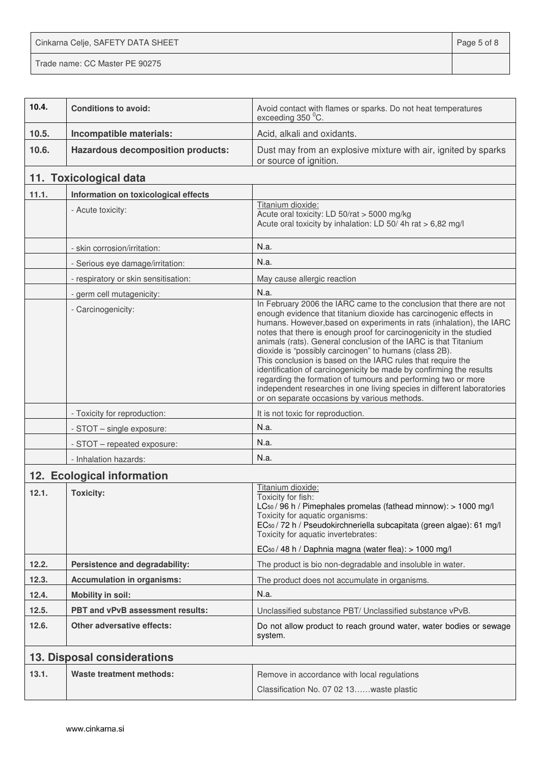Cinkarna Celje, SAFETY DATA SHEET **Page 5 of 8** 

Trade name: CC Master PE 90275

| 10.4. | <b>Conditions to avoid:</b>              | Avoid contact with flames or sparks. Do not heat temperatures<br>exceeding 350 °C.                                                                                                                                                                                                                                                                                                                                                                                                                                                                                                                                                                                                                                                                    |
|-------|------------------------------------------|-------------------------------------------------------------------------------------------------------------------------------------------------------------------------------------------------------------------------------------------------------------------------------------------------------------------------------------------------------------------------------------------------------------------------------------------------------------------------------------------------------------------------------------------------------------------------------------------------------------------------------------------------------------------------------------------------------------------------------------------------------|
| 10.5. | Incompatible materials:                  | Acid, alkali and oxidants.                                                                                                                                                                                                                                                                                                                                                                                                                                                                                                                                                                                                                                                                                                                            |
| 10.6. | <b>Hazardous decomposition products:</b> | Dust may from an explosive mixture with air, ignited by sparks<br>or source of ignition.                                                                                                                                                                                                                                                                                                                                                                                                                                                                                                                                                                                                                                                              |
|       | 11. Toxicological data                   |                                                                                                                                                                                                                                                                                                                                                                                                                                                                                                                                                                                                                                                                                                                                                       |
| 11.1. | Information on toxicological effects     |                                                                                                                                                                                                                                                                                                                                                                                                                                                                                                                                                                                                                                                                                                                                                       |
|       | - Acute toxicity:                        | Titanium dioxide:<br>Acute oral toxicity: LD 50/rat > 5000 mg/kg<br>Acute oral toxicity by inhalation: LD 50/4h rat > 6,82 mg/l                                                                                                                                                                                                                                                                                                                                                                                                                                                                                                                                                                                                                       |
|       | - skin corrosion/irritation:             | N.a.                                                                                                                                                                                                                                                                                                                                                                                                                                                                                                                                                                                                                                                                                                                                                  |
|       | - Serious eye damage/irritation:         | N.a.                                                                                                                                                                                                                                                                                                                                                                                                                                                                                                                                                                                                                                                                                                                                                  |
|       | - respiratory or skin sensitisation:     | May cause allergic reaction                                                                                                                                                                                                                                                                                                                                                                                                                                                                                                                                                                                                                                                                                                                           |
|       | - germ cell mutagenicity:                | N.a.                                                                                                                                                                                                                                                                                                                                                                                                                                                                                                                                                                                                                                                                                                                                                  |
|       | - Carcinogenicity:                       | In February 2006 the IARC came to the conclusion that there are not<br>enough evidence that titanium dioxide has carcinogenic effects in<br>humans. However, based on experiments in rats (inhalation), the IARC<br>notes that there is enough proof for carcinogenicity in the studied<br>animals (rats). General conclusion of the IARC is that Titanium<br>dioxide is "possibly carcinogen" to humans (class 2B).<br>This conclusion is based on the IARC rules that require the<br>identification of carcinogenicity be made by confirming the results<br>regarding the formation of tumours and performing two or more<br>independent researches in one living species in different laboratories<br>or on separate occasions by various methods. |
|       | - Toxicity for reproduction:             | It is not toxic for reproduction.                                                                                                                                                                                                                                                                                                                                                                                                                                                                                                                                                                                                                                                                                                                     |
|       | - STOT - single exposure:                | N.a.                                                                                                                                                                                                                                                                                                                                                                                                                                                                                                                                                                                                                                                                                                                                                  |
|       | - STOT - repeated exposure:              | N.a.                                                                                                                                                                                                                                                                                                                                                                                                                                                                                                                                                                                                                                                                                                                                                  |
|       | - Inhalation hazards:                    | N.a.                                                                                                                                                                                                                                                                                                                                                                                                                                                                                                                                                                                                                                                                                                                                                  |
|       | 12. Ecological information               |                                                                                                                                                                                                                                                                                                                                                                                                                                                                                                                                                                                                                                                                                                                                                       |
| 12.1. | <b>Toxicity:</b>                         | Titanium dioxide:<br>Toxicity for fish:<br>LC <sub>50</sub> / 96 h / Pimephales promelas (fathead minnow): > 1000 mg/l<br>Toxicity for aquatic organisms:<br>EC <sub>50</sub> / 72 h / Pseudokirchneriella subcapitata (green algae): 61 mg/l<br>Toxicity for aquatic invertebrates:<br>EC <sub>50</sub> / 48 h / Daphnia magna (water flea): > 1000 mg/l                                                                                                                                                                                                                                                                                                                                                                                             |
| 12.2. | Persistence and degradability:           | The product is bio non-degradable and insoluble in water.                                                                                                                                                                                                                                                                                                                                                                                                                                                                                                                                                                                                                                                                                             |
| 12.3. | <b>Accumulation in organisms:</b>        | The product does not accumulate in organisms.                                                                                                                                                                                                                                                                                                                                                                                                                                                                                                                                                                                                                                                                                                         |
| 12.4. | <b>Mobility in soil:</b>                 | N.a.                                                                                                                                                                                                                                                                                                                                                                                                                                                                                                                                                                                                                                                                                                                                                  |
| 12.5. | PBT and vPvB assessment results:         | Unclassified substance PBT/ Unclassified substance vPvB.                                                                                                                                                                                                                                                                                                                                                                                                                                                                                                                                                                                                                                                                                              |
| 12.6. | <b>Other adversative effects:</b>        | Do not allow product to reach ground water, water bodies or sewage<br>system.                                                                                                                                                                                                                                                                                                                                                                                                                                                                                                                                                                                                                                                                         |
|       | 13. Disposal considerations              |                                                                                                                                                                                                                                                                                                                                                                                                                                                                                                                                                                                                                                                                                                                                                       |
| 13.1. | <b>Waste treatment methods:</b>          | Remove in accordance with local regulations<br>Classification No. 07 02 13waste plastic                                                                                                                                                                                                                                                                                                                                                                                                                                                                                                                                                                                                                                                               |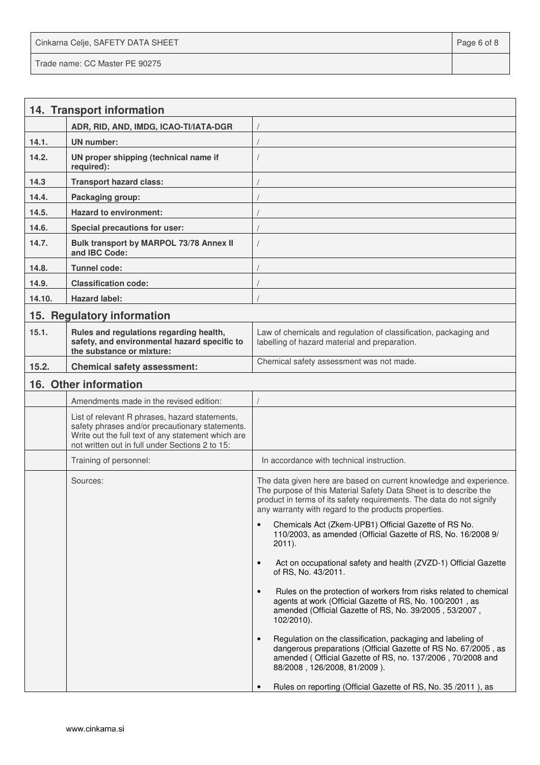Cinkarna Celje, SAFETY DATA SHEET **Page 6 of 8** and 2011 12 and 2012 12 and 2012 12 and 2012 12 and 2012 12 and 201 Trade name: CC Master PE 90275

|        | 14. Transport information                                                                                                                                                                                  |                                                                                                                                                                                                                                                                         |
|--------|------------------------------------------------------------------------------------------------------------------------------------------------------------------------------------------------------------|-------------------------------------------------------------------------------------------------------------------------------------------------------------------------------------------------------------------------------------------------------------------------|
|        | ADR, RID, AND, IMDG, ICAO-TI/IATA-DGR                                                                                                                                                                      |                                                                                                                                                                                                                                                                         |
| 14.1.  | UN number:                                                                                                                                                                                                 |                                                                                                                                                                                                                                                                         |
| 14.2.  | UN proper shipping (technical name if<br>required):                                                                                                                                                        |                                                                                                                                                                                                                                                                         |
| 14.3   | <b>Transport hazard class:</b>                                                                                                                                                                             |                                                                                                                                                                                                                                                                         |
| 14.4.  | Packaging group:                                                                                                                                                                                           |                                                                                                                                                                                                                                                                         |
| 14.5.  | <b>Hazard to environment:</b>                                                                                                                                                                              |                                                                                                                                                                                                                                                                         |
| 14.6.  | Special precautions for user:                                                                                                                                                                              |                                                                                                                                                                                                                                                                         |
| 14.7.  | Bulk transport by MARPOL 73/78 Annex II<br>and IBC Code:                                                                                                                                                   |                                                                                                                                                                                                                                                                         |
| 14.8.  | <b>Tunnel code:</b>                                                                                                                                                                                        |                                                                                                                                                                                                                                                                         |
| 14.9.  | <b>Classification code:</b>                                                                                                                                                                                |                                                                                                                                                                                                                                                                         |
| 14.10. | <b>Hazard label:</b>                                                                                                                                                                                       |                                                                                                                                                                                                                                                                         |
|        | 15. Regulatory information                                                                                                                                                                                 |                                                                                                                                                                                                                                                                         |
| 15.1.  | Rules and regulations regarding health,<br>safety, and environmental hazard specific to<br>the substance or mixture:                                                                                       | Law of chemicals and regulation of classification, packaging and<br>labelling of hazard material and preparation.                                                                                                                                                       |
| 15.2.  | <b>Chemical safety assessment:</b>                                                                                                                                                                         | Chemical safety assessment was not made.                                                                                                                                                                                                                                |
|        | 16. Other information                                                                                                                                                                                      |                                                                                                                                                                                                                                                                         |
|        | Amendments made in the revised edition:                                                                                                                                                                    |                                                                                                                                                                                                                                                                         |
|        | List of relevant R phrases, hazard statements,<br>safety phrases and/or precautionary statements.<br>Write out the full text of any statement which are<br>not written out in full under Sections 2 to 15: |                                                                                                                                                                                                                                                                         |
|        | Training of personnel:                                                                                                                                                                                     | In accordance with technical instruction.                                                                                                                                                                                                                               |
|        | Sources:                                                                                                                                                                                                   | The data given here are based on current knowledge and experience.<br>The purpose of this Material Safety Data Sheet is to describe the<br>product in terms of its safety requirements. The data do not signify<br>any warranty with regard to the products properties. |
|        |                                                                                                                                                                                                            | Chemicals Act (Zkem-UPB1) Official Gazette of RS No.<br>$\bullet$<br>110/2003, as amended (Official Gazette of RS, No. 16/2008 9/<br>$2011$ ).                                                                                                                          |
|        |                                                                                                                                                                                                            | Act on occupational safety and health (ZVZD-1) Official Gazette<br>$\bullet$<br>of RS, No. 43/2011.                                                                                                                                                                     |
|        |                                                                                                                                                                                                            | Rules on the protection of workers from risks related to chemical<br>$\bullet$<br>agents at work (Official Gazette of RS, No. 100/2001, as<br>amended (Official Gazette of RS, No. 39/2005, 53/2007,<br>$102/2010$ ).                                                   |
|        |                                                                                                                                                                                                            | Regulation on the classification, packaging and labeling of<br>$\bullet$<br>dangerous preparations (Official Gazette of RS No. 67/2005, as<br>amended (Official Gazette of RS, no. 137/2006, 70/2008 and<br>88/2008, 126/2008, 81/2009).                                |
|        |                                                                                                                                                                                                            | Rules on reporting (Official Gazette of RS, No. 35/2011), as                                                                                                                                                                                                            |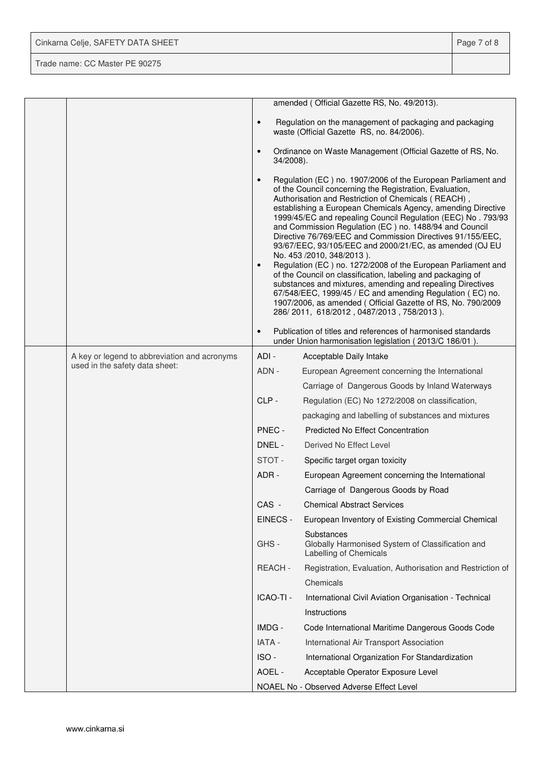| Cinkarna Celje, SAFETY DATA SHEET | Page 7 of 8 |
|-----------------------------------|-------------|
| Trade name: CC Master PE 90275    |             |

|  |                                              |                        | amended (Official Gazette RS, No. 49/2013).                                                                                                                                                                                                                                                                                                                                                                                                                                                                                                                                                                                                                                                                                                                                                                                                                                                          |
|--|----------------------------------------------|------------------------|------------------------------------------------------------------------------------------------------------------------------------------------------------------------------------------------------------------------------------------------------------------------------------------------------------------------------------------------------------------------------------------------------------------------------------------------------------------------------------------------------------------------------------------------------------------------------------------------------------------------------------------------------------------------------------------------------------------------------------------------------------------------------------------------------------------------------------------------------------------------------------------------------|
|  |                                              | $\bullet$              | Regulation on the management of packaging and packaging<br>waste (Official Gazette RS, no. 84/2006).                                                                                                                                                                                                                                                                                                                                                                                                                                                                                                                                                                                                                                                                                                                                                                                                 |
|  |                                              | $\bullet$<br>34/2008). | Ordinance on Waste Management (Official Gazette of RS, No.                                                                                                                                                                                                                                                                                                                                                                                                                                                                                                                                                                                                                                                                                                                                                                                                                                           |
|  |                                              | $\bullet$<br>$\bullet$ | Regulation (EC) no. 1907/2006 of the European Parliament and<br>of the Council concerning the Registration, Evaluation,<br>Authorisation and Restriction of Chemicals (REACH),<br>establishing a European Chemicals Agency, amending Directive<br>1999/45/EC and repealing Council Regulation (EEC) No. 793/93<br>and Commission Regulation (EC) no. 1488/94 and Council<br>Directive 76/769/EEC and Commission Directives 91/155/EEC,<br>93/67/EEC, 93/105/EEC and 2000/21/EC, as amended (OJ EU<br>No. 453 /2010, 348/2013).<br>Regulation (EC) no. 1272/2008 of the European Parliament and<br>of the Council on classification, labeling and packaging of<br>substances and mixtures, amending and repealing Directives<br>67/548/EEC, 1999/45 / EC and amending Regulation (EC) no.<br>1907/2006, as amended (Official Gazette of RS, No. 790/2009<br>286/2011, 618/2012, 0487/2013, 758/2013). |
|  |                                              | $\bullet$              | Publication of titles and references of harmonised standards<br>under Union harmonisation legislation (2013/C 186/01).                                                                                                                                                                                                                                                                                                                                                                                                                                                                                                                                                                                                                                                                                                                                                                               |
|  | A key or legend to abbreviation and acronyms | ADI-                   | Acceptable Daily Intake                                                                                                                                                                                                                                                                                                                                                                                                                                                                                                                                                                                                                                                                                                                                                                                                                                                                              |
|  | used in the safety data sheet:               | ADN -                  | European Agreement concerning the International                                                                                                                                                                                                                                                                                                                                                                                                                                                                                                                                                                                                                                                                                                                                                                                                                                                      |
|  |                                              |                        | Carriage of Dangerous Goods by Inland Waterways                                                                                                                                                                                                                                                                                                                                                                                                                                                                                                                                                                                                                                                                                                                                                                                                                                                      |
|  |                                              | CLP-                   | Regulation (EC) No 1272/2008 on classification,                                                                                                                                                                                                                                                                                                                                                                                                                                                                                                                                                                                                                                                                                                                                                                                                                                                      |
|  |                                              |                        | packaging and labelling of substances and mixtures                                                                                                                                                                                                                                                                                                                                                                                                                                                                                                                                                                                                                                                                                                                                                                                                                                                   |
|  |                                              | PNEC -                 | <b>Predicted No Effect Concentration</b>                                                                                                                                                                                                                                                                                                                                                                                                                                                                                                                                                                                                                                                                                                                                                                                                                                                             |
|  |                                              | DNEL -                 | Derived No Effect Level                                                                                                                                                                                                                                                                                                                                                                                                                                                                                                                                                                                                                                                                                                                                                                                                                                                                              |
|  |                                              | STOT-                  | Specific target organ toxicity                                                                                                                                                                                                                                                                                                                                                                                                                                                                                                                                                                                                                                                                                                                                                                                                                                                                       |
|  |                                              | ADR-                   | European Agreement concerning the International                                                                                                                                                                                                                                                                                                                                                                                                                                                                                                                                                                                                                                                                                                                                                                                                                                                      |
|  |                                              |                        | Carriage of Dangerous Goods by Road                                                                                                                                                                                                                                                                                                                                                                                                                                                                                                                                                                                                                                                                                                                                                                                                                                                                  |
|  |                                              | CAS -                  | <b>Chemical Abstract Services</b>                                                                                                                                                                                                                                                                                                                                                                                                                                                                                                                                                                                                                                                                                                                                                                                                                                                                    |
|  |                                              | EINECS -               | European Inventory of Existing Commercial Chemical                                                                                                                                                                                                                                                                                                                                                                                                                                                                                                                                                                                                                                                                                                                                                                                                                                                   |
|  |                                              | GHS-                   | Substances<br>Globally Harmonised System of Classification and<br>Labelling of Chemicals                                                                                                                                                                                                                                                                                                                                                                                                                                                                                                                                                                                                                                                                                                                                                                                                             |
|  |                                              | REACH-                 | Registration, Evaluation, Authorisation and Restriction of                                                                                                                                                                                                                                                                                                                                                                                                                                                                                                                                                                                                                                                                                                                                                                                                                                           |
|  |                                              |                        | Chemicals                                                                                                                                                                                                                                                                                                                                                                                                                                                                                                                                                                                                                                                                                                                                                                                                                                                                                            |
|  |                                              | ICAO-TI -              | International Civil Aviation Organisation - Technical                                                                                                                                                                                                                                                                                                                                                                                                                                                                                                                                                                                                                                                                                                                                                                                                                                                |
|  |                                              |                        | Instructions                                                                                                                                                                                                                                                                                                                                                                                                                                                                                                                                                                                                                                                                                                                                                                                                                                                                                         |
|  |                                              | IMDG -                 | Code International Maritime Dangerous Goods Code                                                                                                                                                                                                                                                                                                                                                                                                                                                                                                                                                                                                                                                                                                                                                                                                                                                     |
|  |                                              | IATA -                 | International Air Transport Association                                                                                                                                                                                                                                                                                                                                                                                                                                                                                                                                                                                                                                                                                                                                                                                                                                                              |
|  |                                              | ISO-                   | International Organization For Standardization                                                                                                                                                                                                                                                                                                                                                                                                                                                                                                                                                                                                                                                                                                                                                                                                                                                       |
|  |                                              | AOEL -                 | Acceptable Operator Exposure Level                                                                                                                                                                                                                                                                                                                                                                                                                                                                                                                                                                                                                                                                                                                                                                                                                                                                   |
|  |                                              |                        | NOAEL No - Observed Adverse Effect Level                                                                                                                                                                                                                                                                                                                                                                                                                                                                                                                                                                                                                                                                                                                                                                                                                                                             |